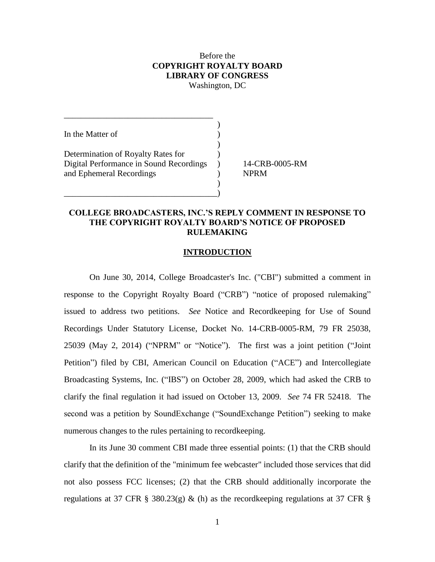## Before the **COPYRIGHT ROYALTY BOARD LIBRARY OF CONGRESS** Washington, DC

)

)

)

In the Matter of  $\hspace{1.5cm}$  ) Determination of Royalty Rates for  $\qquad$ ) Digital Performance in Sound Recordings ) 14-CRB-0005-RM and Ephemeral Recordings (and Sephemeral Recordings and Separation 1) and  $NPRM$ 

\_\_\_\_\_\_\_\_\_\_\_\_\_\_\_\_\_\_\_\_\_\_\_\_\_\_\_\_\_\_\_\_\_\_\_\_)

\_\_\_\_\_\_\_\_\_\_\_\_\_\_\_\_\_\_\_\_\_\_\_\_\_\_\_\_\_\_\_\_\_\_\_

## **COLLEGE BROADCASTERS, INC.'S REPLY COMMENT IN RESPONSE TO THE COPYRIGHT ROYALTY BOARD'S NOTICE OF PROPOSED RULEMAKING**

#### **INTRODUCTION**

On June 30, 2014, College Broadcaster's Inc. ("CBI") submitted a comment in response to the Copyright Royalty Board ("CRB") "notice of proposed rulemaking" issued to address two petitions. *See* Notice and Recordkeeping for Use of Sound Recordings Under Statutory License, Docket No. 14-CRB-0005-RM, 79 FR 25038, 25039 (May 2, 2014) ("NPRM" or "Notice"). The first was a joint petition ("Joint Petition") filed by CBI, American Council on Education ("ACE") and Intercollegiate Broadcasting Systems, Inc. ("IBS") on October 28, 2009, which had asked the CRB to clarify the final regulation it had issued on October 13, 2009. *See* 74 FR 52418. The second was a petition by SoundExchange ("SoundExchange Petition") seeking to make numerous changes to the rules pertaining to recordkeeping.

In its June 30 comment CBI made three essential points: (1) that the CRB should clarify that the definition of the "minimum fee webcaster" included those services that did not also possess FCC licenses; (2) that the CRB should additionally incorporate the regulations at 37 CFR § 380.23(g) & (h) as the recordkeeping regulations at 37 CFR §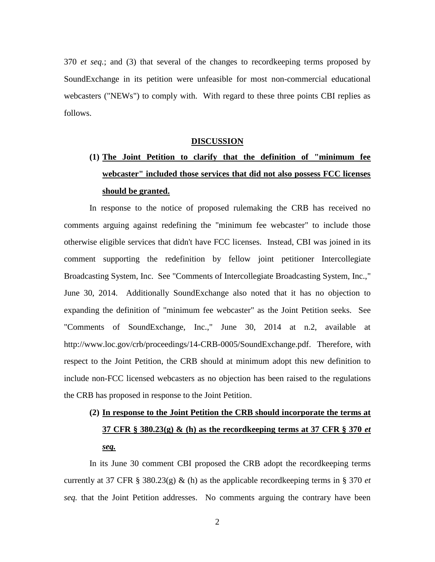370 *et seq.*; and (3) that several of the changes to recordkeeping terms proposed by SoundExchange in its petition were unfeasible for most non-commercial educational webcasters ("NEWs") to comply with. With regard to these three points CBI replies as follows.

#### **DISCUSSION**

# **(1) The Joint Petition to clarify that the definition of "minimum fee webcaster" included those services that did not also possess FCC licenses should be granted.**

In response to the notice of proposed rulemaking the CRB has received no comments arguing against redefining the "minimum fee webcaster" to include those otherwise eligible services that didn't have FCC licenses. Instead, CBI was joined in its comment supporting the redefinition by fellow joint petitioner Intercollegiate Broadcasting System, Inc. See "Comments of Intercollegiate Broadcasting System, Inc.," June 30, 2014. Additionally SoundExchange also noted that it has no objection to expanding the definition of "minimum fee webcaster" as the Joint Petition seeks. See "Comments of SoundExchange, Inc.," June 30, 2014 at n.2, available at http://www.loc.gov/crb/proceedings/14-CRB-0005/SoundExchange.pdf. Therefore, with respect to the Joint Petition, the CRB should at minimum adopt this new definition to include non-FCC licensed webcasters as no objection has been raised to the regulations the CRB has proposed in response to the Joint Petition.

# **(2) In response to the Joint Petition the CRB should incorporate the terms at 37 CFR § 380.23(g) & (h) as the recordkeeping terms at 37 CFR § 370** *et seq.*

In its June 30 comment CBI proposed the CRB adopt the recordkeeping terms currently at 37 CFR § 380.23(g) & (h) as the applicable recordkeeping terms in § 370  $et$ *seq.* that the Joint Petition addresses. No comments arguing the contrary have been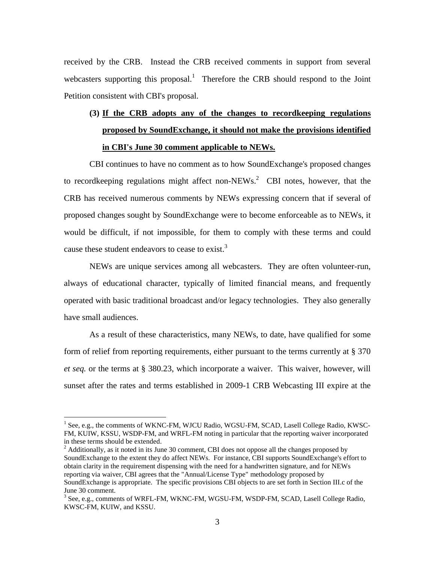received by the CRB. Instead the CRB received comments in support from several webcasters supporting this proposal.<sup>1</sup> Therefore the CRB should respond to the Joint Petition consistent with CBI's proposal.

## **(3) If the CRB adopts any of the changes to recordkeeping regulations proposed by SoundExchange, it should not make the provisions identified in CBI's June 30 comment applicable to NEWs.**

CBI continues to have no comment as to how SoundExchange's proposed changes to recordkeeping regulations might affect non-NEWs.<sup>2</sup> CBI notes, however, that the CRB has received numerous comments by NEWs expressing concern that if several of proposed changes sought by SoundExchange were to become enforceable as to NEWs, it would be difficult, if not impossible, for them to comply with these terms and could cause these student endeavors to cease to exist.<sup>3</sup>

NEWs are unique services among all webcasters. They are often volunteer-run, always of educational character, typically of limited financial means, and frequently operated with basic traditional broadcast and/or legacy technologies. They also generally have small audiences.

As a result of these characteristics, many NEWs, to date, have qualified for some form of relief from reporting requirements, either pursuant to the terms currently at § 370 *et seq.* or the terms at § 380.23, which incorporate a waiver. This waiver, however, will sunset after the rates and terms established in 2009-1 CRB Webcasting III expire at the

 $\overline{a}$ 

 $2$  Additionally, as it noted in its June 30 comment, CBI does not oppose all the changes proposed by SoundExchange to the extent they do affect NEWs. For instance, CBI supports SoundExchange's effort to obtain clarity in the requirement dispensing with the need for a handwritten signature, and for NEWs reporting via waiver, CBI agrees that the "Annual/License Type" methodology proposed by SoundExchange is appropriate. The specific provisions CBI objects to are set forth in Section III.c of the June 30 comment.

<sup>&</sup>lt;sup>1</sup> See, e.g., the comments of WKNC-FM, WJCU Radio, WGSU-FM, SCAD, Lasell College Radio, KWSC-FM, KUIW, KSSU, WSDP-FM, and WRFL-FM noting in particular that the reporting waiver incorporated in these terms should be extended.

<sup>&</sup>lt;sup>3</sup> See, e.g., comments of WRFL-FM, WKNC-FM, WGSU-FM, WSDP-FM, SCAD, Lasell College Radio, KWSC-FM, KUIW, and KSSU.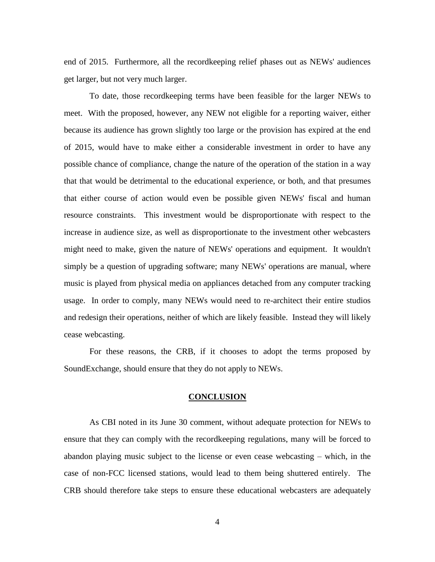end of 2015. Furthermore, all the recordkeeping relief phases out as NEWs' audiences get larger, but not very much larger.

To date, those recordkeeping terms have been feasible for the larger NEWs to meet. With the proposed, however, any NEW not eligible for a reporting waiver, either because its audience has grown slightly too large or the provision has expired at the end of 2015, would have to make either a considerable investment in order to have any possible chance of compliance, change the nature of the operation of the station in a way that that would be detrimental to the educational experience, or both, and that presumes that either course of action would even be possible given NEWs' fiscal and human resource constraints. This investment would be disproportionate with respect to the increase in audience size, as well as disproportionate to the investment other webcasters might need to make, given the nature of NEWs' operations and equipment. It wouldn't simply be a question of upgrading software; many NEWs' operations are manual, where music is played from physical media on appliances detached from any computer tracking usage. In order to comply, many NEWs would need to re-architect their entire studios and redesign their operations, neither of which are likely feasible. Instead they will likely cease webcasting.

For these reasons, the CRB, if it chooses to adopt the terms proposed by SoundExchange, should ensure that they do not apply to NEWs.

#### **CONCLUSION**

As CBI noted in its June 30 comment, without adequate protection for NEWs to ensure that they can comply with the recordkeeping regulations, many will be forced to abandon playing music subject to the license or even cease webcasting – which, in the case of non-FCC licensed stations, would lead to them being shuttered entirely. The CRB should therefore take steps to ensure these educational webcasters are adequately